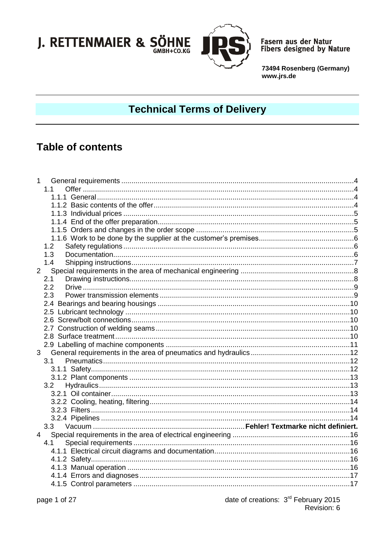

Fasern aus der Natur<br>Fibers designed by Nature

73494 Rosenberg (Germany) www.jrs.de

# **Technical Terms of Delivery**

## **Table of contents**

| $\mathbf{1}$   |     |  |
|----------------|-----|--|
|                | 1.1 |  |
|                |     |  |
|                |     |  |
|                |     |  |
|                |     |  |
|                |     |  |
|                |     |  |
|                | 1.2 |  |
|                | 1.3 |  |
|                | 1.4 |  |
| $\overline{2}$ |     |  |
|                | 2.1 |  |
|                | 2.2 |  |
|                | 2.3 |  |
|                |     |  |
|                |     |  |
|                |     |  |
|                |     |  |
|                |     |  |
|                |     |  |
| 3              |     |  |
|                | 3.1 |  |
|                |     |  |
|                |     |  |
|                |     |  |
|                |     |  |
|                |     |  |
|                |     |  |
|                |     |  |
|                |     |  |
| $\overline{4}$ |     |  |
|                | 4.1 |  |
|                |     |  |
|                |     |  |
|                |     |  |
|                |     |  |
|                |     |  |
|                |     |  |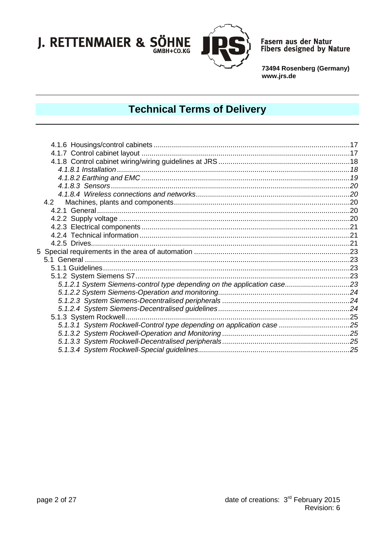

Fasern aus der Natur<br>Fibers designed by Nature

73494 Rosenberg (Germany) www.jrs.de

# **Technical Terms of Delivery**

| 5.1.2.1 System Siemens-control type depending on the application case23 |  |
|-------------------------------------------------------------------------|--|
|                                                                         |  |
|                                                                         |  |
|                                                                         |  |
|                                                                         |  |
| 5.1.3.1 System Rockwell-Control type depending on application case 25   |  |
|                                                                         |  |
|                                                                         |  |
|                                                                         |  |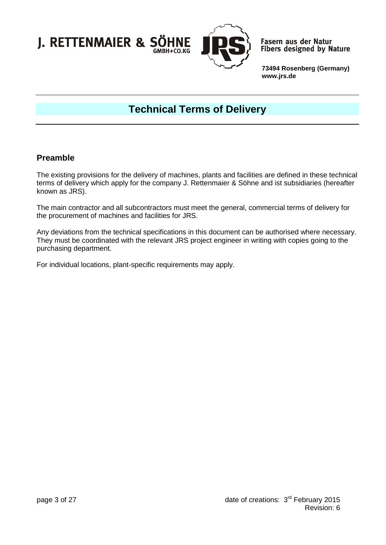

**Fasern aus der Natur** Fibers designed by Nature

**73494 Rosenberg (Germany) www.jrs.de**

# **Technical Terms of Delivery**

### **Preamble**

The existing provisions for the delivery of machines, plants and facilities are defined in these technical terms of delivery which apply for the company J. Rettenmaier & Söhne and ist subsidiaries (hereafter known as JRS).

The main contractor and all subcontractors must meet the general, commercial terms of delivery for the procurement of machines and facilities for JRS.

Any deviations from the technical specifications in this document can be authorised where necessary. They must be coordinated with the relevant JRS project engineer in writing with copies going to the purchasing department.

For individual locations, plant-specific requirements may apply.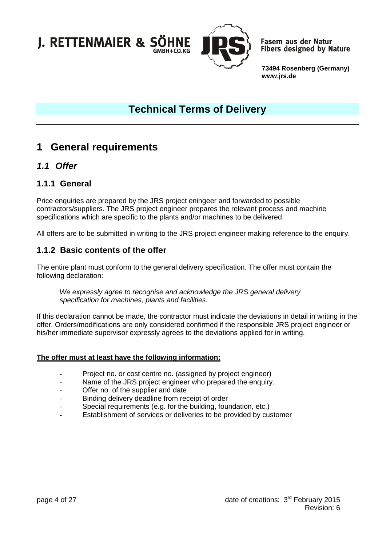

**Fasern aus der Natur Fibers designed by Nature** 

**73494 Rosenberg (Germany) www.jrs.de**

# **Technical Terms of Delivery**

## <span id="page-3-0"></span>**1 General requirements**

### <span id="page-3-1"></span>*1.1 Offer*

### <span id="page-3-2"></span>**1.1.1 General**

Price enquiries are prepared by the JRS project eningeer and forwarded to possible contractors/suppliers. The JRS project engineer prepares the relevant process and machine specifications which are specific to the plants and/or machines to be delivered.

All offers are to be submitted in writing to the JRS project engineer making reference to the enquiry.

#### <span id="page-3-3"></span>**1.1.2 Basic contents of the offer**

The entire plant must conform to the general delivery specification. The offer must contain the following declaration:

*We expressly agree to recognise and acknowledge the JRS general delivery specification for machines, plants and facilities.*

If this declaration cannot be made, the contractor must indicate the deviations in detail in writing in the offer. Orders/modifications are only considered confirmed if the responsible JRS project engineer or his/her immediate supervisor expressly agrees to the deviations applied for in writing.

#### **The offer must at least have the following information:**

- Project no. or cost centre no. (assigned by project engineer)
- Name of the JRS project engineer who prepared the enquiry.
- Offer no. of the supplier and date
- Binding delivery deadline from receipt of order
- Special requirements (e.g. for the building, foundation, etc.)
- Establishment of services or deliveries to be provided by customer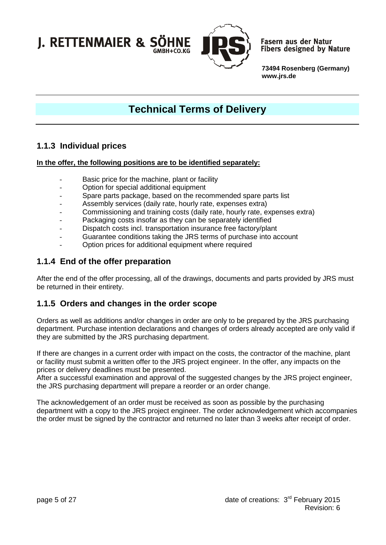

**Fasern aus der Natur Fibers designed by Nature** 

**73494 Rosenberg (Germany) www.jrs.de**

# **Technical Terms of Delivery**

### <span id="page-4-0"></span>**1.1.3 Individual prices**

#### **In the offer, the following positions are to be identified separately:**

- Basic price for the machine, plant or facility
- Option for special additional equipment
- Spare parts package, based on the recommended spare parts list
- Assembly services (daily rate, hourly rate, expenses extra)
- Commissioning and training costs (daily rate, hourly rate, expenses extra)
- Packaging costs insofar as they can be separately identified
- Dispatch costs incl. transportation insurance free factory/plant
- Guarantee conditions taking the JRS terms of purchase into account
- Option prices for additional equipment where required

### <span id="page-4-1"></span>**1.1.4 End of the offer preparation**

After the end of the offer processing, all of the drawings, documents and parts provided by JRS must be returned in their entirety.

#### <span id="page-4-2"></span>**1.1.5 Orders and changes in the order scope**

Orders as well as additions and/or changes in order are only to be prepared by the JRS purchasing department. Purchase intention declarations and changes of orders already accepted are only valid if they are submitted by the JRS purchasing department.

If there are changes in a current order with impact on the costs, the contractor of the machine, plant or facility must submit a written offer to the JRS project engineer. In the offer, any impacts on the prices or delivery deadlines must be presented.

After a successful examination and approval of the suggested changes by the JRS project engineer, the JRS purchasing department will prepare a reorder or an order change.

The acknowledgement of an order must be received as soon as possible by the purchasing department with a copy to the JRS project engineer. The order acknowledgement which accompanies the order must be signed by the contractor and returned no later than 3 weeks after receipt of order.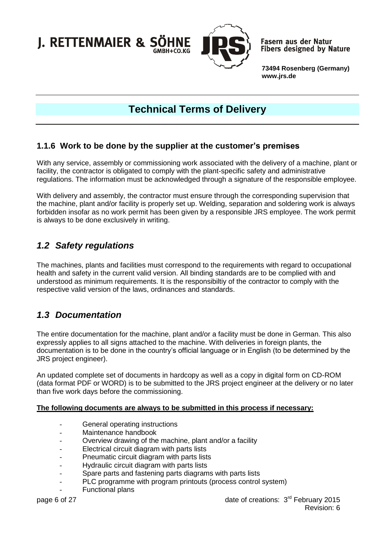

**Fasern aus der Natur Fibers designed by Nature** 

**73494 Rosenberg (Germany) www.jrs.de**

# **Technical Terms of Delivery**

### <span id="page-5-0"></span>**1.1.6 Work to be done by the supplier at the customer's premises**

With any service, assembly or commissioning work associated with the delivery of a machine, plant or facility, the contractor is obligated to comply with the plant-specific safety and administrative regulations. The information must be acknowledged through a signature of the responsible employee.

With delivery and assembly, the contractor must ensure through the corresponding supervision that the machine, plant and/or facility is properly set up. Welding, separation and soldering work is always forbidden insofar as no work permit has been given by a responsible JRS employee. The work permit is always to be done exclusively in writing.

### <span id="page-5-1"></span>*1.2 Safety regulations*

The machines, plants and facilities must correspond to the requirements with regard to occupational health and safety in the current valid version. All binding standards are to be complied with and understood as minimum requirements. It is the responsibiltiy of the contractor to comply with the respective valid version of the laws, ordinances and standards.

### <span id="page-5-2"></span>*1.3 Documentation*

The entire documentation for the machine, plant and/or a facility must be done in German. This also expressly applies to all signs attached to the machine. With deliveries in foreign plants, the documentation is to be done in the country's official language or in English (to be determined by the JRS project engineer).

An updated complete set of documents in hardcopy as well as a copy in digital form on CD-ROM (data format PDF or WORD) is to be submitted to the JRS project engineer at the delivery or no later than five work days before the commissioning.

#### **The following documents are always to be submitted in this process if necessary:**

- General operating instructions
- Maintenance handbook
- Overview drawing of the machine, plant and/or a facility
- Electrical circuit diagram with parts lists
- Pneumatic circuit diagram with parts lists
- Hydraulic circuit diagram with parts lists
- Spare parts and fastening parts diagrams with parts lists
- PLC programme with program printouts (process control system)
- Functional plans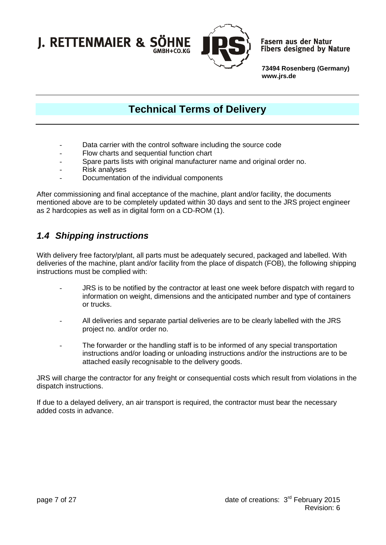

**Fasern aus der Natur Fibers designed by Nature** 

**73494 Rosenberg (Germany) www.jrs.de**

## **Technical Terms of Delivery**

- Data carrier with the control software including the source code
- Flow charts and sequential function chart
- Spare parts lists with original manufacturer name and original order no.
- Risk analyses
- Documentation of the individual components

After commissioning and final acceptance of the machine, plant and/or facility, the documents mentioned above are to be completely updated within 30 days and sent to the JRS project engineer as 2 hardcopies as well as in digital form on a CD-ROM (1).

### <span id="page-6-0"></span>*1.4 Shipping instructions*

With delivery free factory/plant, all parts must be adequately secured, packaged and labelled. With deliveries of the machine, plant and/or facility from the place of dispatch (FOB), the following shipping instructions must be complied with:

- JRS is to be notified by the contractor at least one week before dispatch with regard to information on weight, dimensions and the anticipated number and type of containers or trucks.
- All deliveries and separate partial deliveries are to be clearly labelled with the JRS project no. and/or order no.
- The forwarder or the handling staff is to be informed of any special transportation instructions and/or loading or unloading instructions and/or the instructions are to be attached easily recognisable to the delivery goods.

JRS will charge the contractor for any freight or consequential costs which result from violations in the dispatch instructions.

If due to a delayed delivery, an air transport is required, the contractor must bear the necessary added costs in advance.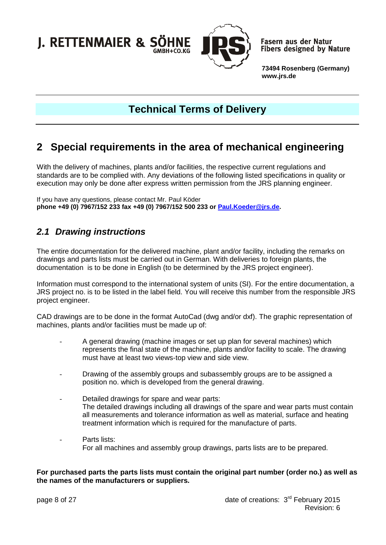

**Fasern aus der Natur Fibers designed by Nature** 

**73494 Rosenberg (Germany) www.jrs.de**

# **Technical Terms of Delivery**

## <span id="page-7-0"></span>**2 Special requirements in the area of mechanical engineering**

With the delivery of machines, plants and/or facilities, the respective current regulations and standards are to be complied with. Any deviations of the following listed specifications in quality or execution may only be done after express written permission from the JRS planning engineer.

If you have any questions, please contact Mr. Paul Köder **phone +49 (0) 7967/152 233 fax +49 (0) 7967/152 500 233 or [Paul.Koeder@jrs.de.](mailto:Paul.Koeder@jrs.de)**

### <span id="page-7-1"></span>*2.1 Drawing instructions*

The entire documentation for the delivered machine, plant and/or facility, including the remarks on drawings and parts lists must be carried out in German. With deliveries to foreign plants, the documentation is to be done in English (to be determined by the JRS project engineer).

Information must correspond to the international system of units (SI). For the entire documentation, a JRS project no. is to be listed in the label field. You will receive this number from the responsible JRS project engineer.

CAD drawings are to be done in the format AutoCad (dwg and/or dxf). The graphic representation of machines, plants and/or facilities must be made up of:

- A general drawing (machine images or set up plan for several machines) which represents the final state of the machine, plants and/or facility to scale. The drawing must have at least two views-top view and side view.
- Drawing of the assembly groups and subassembly groups are to be assigned a position no. which is developed from the general drawing.
- Detailed drawings for spare and wear parts: The detailed drawings including all drawings of the spare and wear parts must contain all measurements and tolerance information as well as material, surface and heating treatment information which is required for the manufacture of parts.
- Parts lists: For all machines and assembly group drawings, parts lists are to be prepared.

**For purchased parts the parts lists must contain the original part number (order no.) as well as the names of the manufacturers or suppliers.**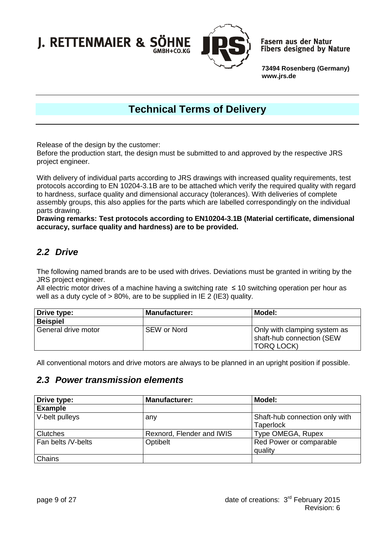

**Fasern aus der Natur Fibers designed by Nature** 

**73494 Rosenberg (Germany) www.jrs.de**

# **Technical Terms of Delivery**

Release of the design by the customer:

Before the production start, the design must be submitted to and approved by the respective JRS project engineer.

With delivery of individual parts according to JRS drawings with increased quality requirements, test protocols according to EN 10204-3.1B are to be attached which verify the required quality with regard to hardness, surface quality and dimensional accuracy (tolerances). With deliveries of complete assembly groups, this also applies for the parts which are labelled correspondingly on the individual parts drawing.

**Drawing remarks: Test protocols according to EN10204-3.1B (Material certificate, dimensional accuracy, surface quality and hardness) are to be provided.**

## <span id="page-8-0"></span>*2.2 Drive*

The following named brands are to be used with drives. Deviations must be granted in writing by the JRS project engineer.

All electric motor drives of a machine having a switching rate ≤ 10 switching operation per hour as well as a duty cycle of > 80%, are to be supplied in IE 2 (IE3) quality.

| Drive type:         | Manufacturer: | Model:                                                                         |
|---------------------|---------------|--------------------------------------------------------------------------------|
| <b>Beispiel</b>     |               |                                                                                |
| General drive motor | I SEW or Nord | Only with clamping system as<br>shaft-hub connection (SEW<br><b>TORQ LOCK)</b> |

All conventional motors and drive motors are always to be planned in an upright position if possible.

### <span id="page-8-1"></span>*2.3 Power transmission elements*

<span id="page-8-2"></span>

| Drive type:        | <b>Manufacturer:</b>      | Model:                                             |
|--------------------|---------------------------|----------------------------------------------------|
| <b>Example</b>     |                           |                                                    |
| V-belt pulleys     | any                       | Shaft-hub connection only with<br><b>Taperlock</b> |
| <b>Clutches</b>    | Rexnord, Flender and IWIS | Type OMEGA, Rupex                                  |
| Fan belts /V-belts | Optibelt                  | Red Power or comparable<br>quality                 |
| Chains             |                           |                                                    |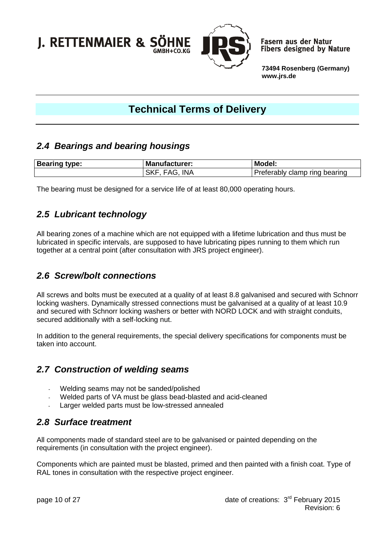

**Fasern aus der Natur Fibers designed by Nature** 

**73494 Rosenberg (Germany) www.jrs.de**

# **Technical Terms of Delivery**

### *2.4 Bearings and bearing housings*

| <b>Bearing</b><br>type: | <b>Manufacturer:</b> | <b>Model:</b>                                     |
|-------------------------|----------------------|---------------------------------------------------|
|                         | <b>INA</b><br>-SK.   | rıno ر<br>bearing<br>Preferabl\<br>clamp<br>.apiv |

The bearing must be designed for a service life of at least 80,000 operating hours.

### <span id="page-9-0"></span>*2.5 Lubricant technology*

All bearing zones of a machine which are not equipped with a lifetime lubrication and thus must be lubricated in specific intervals, are supposed to have lubricating pipes running to them which run together at a central point (after consultation with JRS project engineer).

### <span id="page-9-1"></span>*2.6 Screw/bolt connections*

All screws and bolts must be executed at a quality of at least 8.8 galvanised and secured with Schnorr locking washers. Dynamically stressed connections must be galvanised at a quality of at least 10.9 and secured with Schnorr locking washers or better with NORD LOCK and with straight conduits, secured additionally with a self-locking nut.

In addition to the general requirements, the special delivery specifications for components must be taken into account.

### <span id="page-9-2"></span>*2.7 Construction of welding seams*

- Welding seams may not be sanded/polished
- Welded parts of VA must be glass bead-blasted and acid-cleaned
- Larger welded parts must be low-stressed annealed

### <span id="page-9-3"></span>*2.8 Surface treatment*

All components made of standard steel are to be galvanised or painted depending on the requirements (in consultation with the project engineer).

Components which are painted must be blasted, primed and then painted with a finish coat. Type of RAL tones in consultation with the respective project engineer.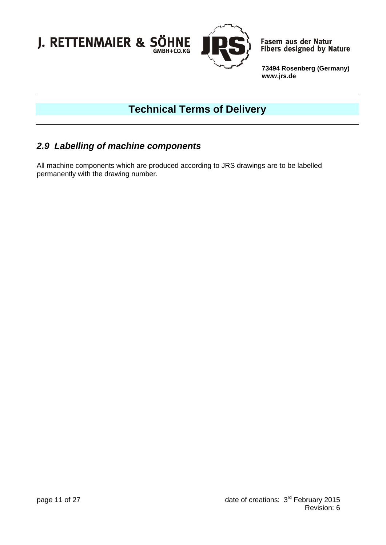

# **Technical Terms of Delivery**

### <span id="page-10-0"></span>*2.9 Labelling of machine components*

All machine components which are produced according to JRS drawings are to be labelled permanently with the drawing number.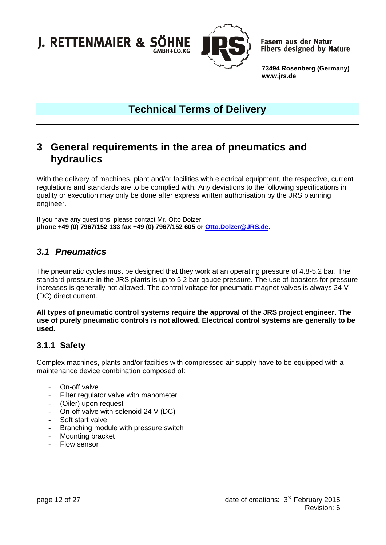

**Fasern aus der Natur Fibers designed by Nature** 

**73494 Rosenberg (Germany) www.jrs.de**

## **Technical Terms of Delivery**

## <span id="page-11-0"></span>**3 General requirements in the area of pneumatics and hydraulics**

With the delivery of machines, plant and/or facilities with electrical equipment, the respective, current regulations and standards are to be complied with. Any deviations to the following specifications in quality or execution may only be done after express written authorisation by the JRS planning engineer.

If you have any questions, please contact Mr. Otto Dolzer **phone +49 (0) 7967/152 133 fax +49 (0) 7967/152 605 or [Otto.Dolzer@JRS.de.](mailto:Otto.Dolzer@JRS.de)**

### <span id="page-11-1"></span>*3.1 Pneumatics*

The pneumatic cycles must be designed that they work at an operating pressure of 4.8-5.2 bar. The standard pressure in the JRS plants is up to 5.2 bar gauge pressure. The use of boosters for pressure increases is generally not allowed. The control voltage for pneumatic magnet valves is always 24 V (DC) direct current.

**All types of pneumatic control systems require the approval of the JRS project engineer. The use of purely pneumatic controls is not allowed. Electrical control systems are generally to be used.**

### <span id="page-11-2"></span>**3.1.1 Safety**

Complex machines, plants and/or facilties with compressed air supply have to be equipped with a maintenance device combination composed of:

- On-off valve
- Filter regulator valve with manometer
- (Oiler) upon request
- On-off valve with solenoid 24 V (DC)
- Soft start valve
- Branching module with pressure switch
- Mounting bracket
- Flow sensor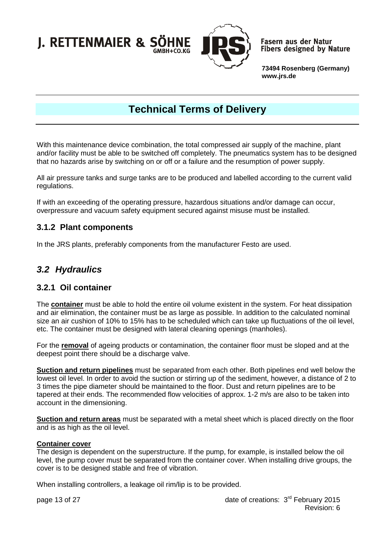

**Fasern aus der Natur Fibers designed by Nature** 

**73494 Rosenberg (Germany) www.jrs.de**

# **Technical Terms of Delivery**

With this maintenance device combination, the total compressed air supply of the machine, plant and/or facility must be able to be switched off completely. The pneumatics system has to be designed that no hazards arise by switching on or off or a failure and the resumption of power supply.

All air pressure tanks and surge tanks are to be produced and labelled according to the current valid regulations.

If with an exceeding of the operating pressure, hazardous situations and/or damage can occur, overpressure and vacuum safety equipment secured against misuse must be installed.

#### <span id="page-12-0"></span>**3.1.2 Plant components**

In the JRS plants, preferably components from the manufacturer Festo are used.

### <span id="page-12-1"></span>*3.2 Hydraulics*

#### <span id="page-12-2"></span>**3.2.1 Oil container**

The **container** must be able to hold the entire oil volume existent in the system. For heat dissipation and air elimination, the container must be as large as possible. In addition to the calculated nominal size an air cushion of 10% to 15% has to be scheduled which can take up fluctuations of the oil level, etc. The container must be designed with lateral cleaning openings (manholes).

For the **removal** of ageing products or contamination, the container floor must be sloped and at the deepest point there should be a discharge valve.

**Suction and return pipelines** must be separated from each other. Both pipelines end well below the lowest oil level. In order to avoid the suction or stirring up of the sediment, however, a distance of 2 to 3 times the pipe diameter should be maintained to the floor. Dust and return pipelines are to be tapered at their ends. The recommended flow velocities of approx. 1-2 m/s are also to be taken into account in the dimensioning.

**Suction and return areas** must be separated with a metal sheet which is placed directly on the floor and is as high as the oil level.

#### **Container cover**

The design is dependent on the superstructure. If the pump, for example, is installed below the oil level, the pump cover must be separated from the container cover. When installing drive groups, the cover is to be designed stable and free of vibration.

When installing controllers, a leakage oil rim/lip is to be provided.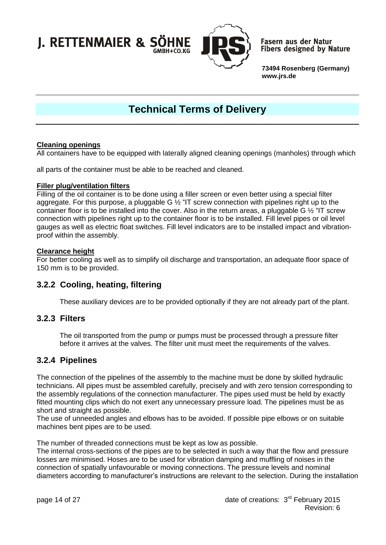

**Fasern aus der Natur Fibers designed by Nature** 

**73494 Rosenberg (Germany) www.jrs.de**

# **Technical Terms of Delivery**

#### **Cleaning openings**

All containers have to be equipped with laterally aligned cleaning openings (manholes) through which

all parts of the container must be able to be reached and cleaned.

#### **Filler plug/ventilation filters**

Filling of the oil container is to be done using a filler screen or even better using a special filter aggregate. For this purpose, a pluggable G  $\frac{1}{2}$  "IT screw connection with pipelines right up to the container floor is to be installed into the cover. Also in the return areas, a pluggable G ½ "IT screw connection with pipelines right up to the container floor is to be installed. Fill level pipes or oil level gauges as well as electric float switches. Fill level indicators are to be installed impact and vibrationproof within the assembly.

#### **Clearance height**

For better cooling as well as to simplify oil discharge and transportation, an adequate floor space of 150 mm is to be provided.

#### <span id="page-13-0"></span>**3.2.2 Cooling, heating, filtering**

These auxiliary devices are to be provided optionally if they are not already part of the plant.

#### <span id="page-13-1"></span>**3.2.3 Filters**

The oil transported from the pump or pumps must be processed through a pressure filter before it arrives at the valves. The filter unit must meet the requirements of the valves.

#### <span id="page-13-2"></span>**3.2.4 Pipelines**

The connection of the pipelines of the assembly to the machine must be done by skilled hydraulic technicians. All pipes must be assembled carefully, precisely and with zero tension corresponding to the assembly regulations of the connection manufacturer. The pipes used must be held by exactly fitted mounting clips which do not exert any unnecessary pressure load. The pipelines must be as short and straight as possible.

The use of unneeded angles and elbows has to be avoided. If possible pipe elbows or on suitable machines bent pipes are to be used.

The number of threaded connections must be kept as low as possible.

The internal cross-sections of the pipes are to be selected in such a way that the flow and pressure losses are minimised. Hoses are to be used for vibration damping and muffling of noises in the connection of spatially unfavourable or moving connections. The pressure levels and nominal diameters according to manufacturer's instructions are relevant to the selection. During the installation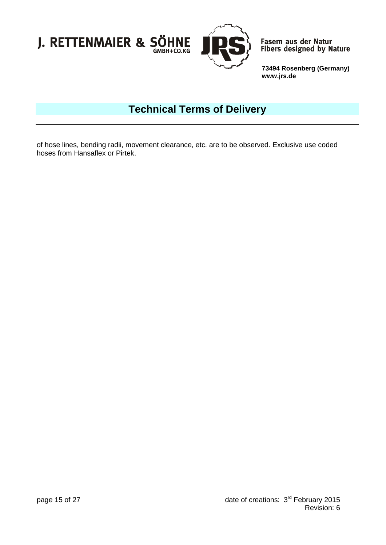



Fasern aus der Natur<br>Fibers designed by Nature

**73494 Rosenberg (Germany) www.jrs.de**

# **Technical Terms of Delivery**

of hose lines, bending radii, movement clearance, etc. are to be observed. Exclusive use coded hoses from Hansaflex or Pirtek.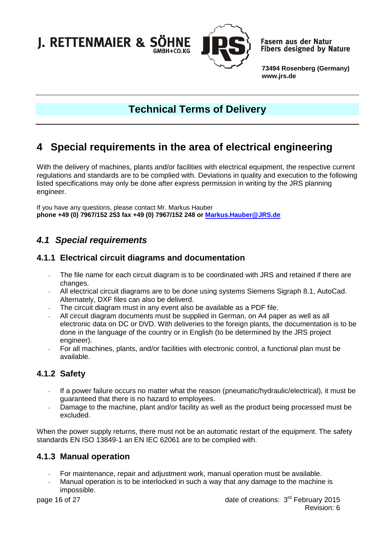

**Fasern aus der Natur Fibers designed by Nature** 

**73494 Rosenberg (Germany) www.jrs.de**

# **Technical Terms of Delivery**

# <span id="page-15-0"></span>**4 Special requirements in the area of electrical engineering**

With the delivery of machines, plants and/or facilities with electrical equipment, the respective current regulations and standards are to be complied with. Deviations in quality and execution to the following listed specifications may only be done after express permission in writing by the JRS planning engineer.

If you have any questions, please contact Mr. Markus Hauber **phone +49 (0) 7967/152 253 fax +49 (0) 7967/152 248 or [Markus.Hauber@JRS.de](mailto:Markus.Hauber@JRS.de)**

## <span id="page-15-1"></span>*4.1 Special requirements*

### <span id="page-15-2"></span>**4.1.1 Electrical circuit diagrams and documentation**

- The file name for each circuit diagram is to be coordinated with JRS and retained if there are changes.
- All electrical circuit diagrams are to be done using systems Siemens Sigraph 8.1, AutoCad. Alternately, DXF files can also be deliverd.
- The circuit diagram must in any event also be available as a PDF file.
- All circuit diagram documents must be supplied in German, on A4 paper as well as all electronic data on DC or DVD. With deliveries to the foreign plants, the documentation is to be done in the language of the country or in English (to be determined by the JRS project engineer).
- For all machines, plants, and/or facilities with electronic control, a functional plan must be available.

### <span id="page-15-3"></span>**4.1.2 Safety**

- If a power failure occurs no matter what the reason (pneumatic/hydraulic/electrical), it must be guaranteed that there is no hazard to employees.
- Damage to the machine, plant and/or facility as well as the product being processed must be excluded.

When the power supply returns, there must not be an automatic restart of the equipment. The safety standards EN ISO 13849-1 an EN IEC 62061 are to be complied with.

### <span id="page-15-4"></span>**4.1.3 Manual operation**

- For maintenance, repair and adjustment work, manual operation must be available.
- Manual operation is to be interlocked in such a way that any damage to the machine is impossible.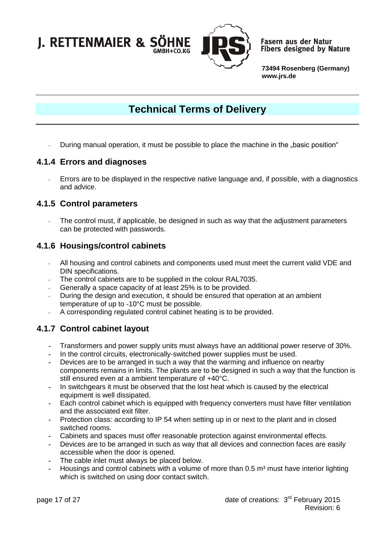

**Fasern aus der Natur Fibers designed by Nature** 

**73494 Rosenberg (Germany) www.jrs.de**

# **Technical Terms of Delivery**

During manual operation, it must be possible to place the machine in the "basic position"

#### <span id="page-16-0"></span>**4.1.4 Errors and diagnoses**

- Errors are to be displayed in the respective native language and, if possible, with a diagnostics and advice.

#### <span id="page-16-1"></span>**4.1.5 Control parameters**

- The control must, if applicable, be designed in such as way that the adjustment parameters can be protected with passwords.

#### <span id="page-16-2"></span>**4.1.6 Housings/control cabinets**

- All housing and control cabinets and components used must meet the current valid VDE and DIN specifications.
- The control cabinets are to be supplied in the colour RAL7035.
- Generally a space capacity of at least 25% is to be provided.
- During the design and execution, it should be ensured that operation at an ambient temperature of up to -10°C must be possible.
- A corresponding regulated control cabinet heating is to be provided.

### <span id="page-16-3"></span>**4.1.7 Control cabinet layout**

- **-** Transformers and power supply units must always have an additional power reserve of 30%.
- **-** In the control circuits, electronically-switched power supplies must be used.
- **-** Devices are to be arranged in such a way that the warming and influence on nearby components remains in limits. The plants are to be designed in such a way that the function is still ensured even at a ambient temperature of +40°C.
- **-** In switchgears it must be observed that the lost heat which is caused by the electrical equipment is well dissipated.
- **-** Each control cabinet which is equipped with frequency converters must have filter ventilation and the associated exit filter.
- **-** Protection class: according to IP 54 when setting up in or next to the plant and in closed switched rooms.
- **-** Cabinets and spaces must offer reasonable protection against environmental effects.
- **-** Devices are to be arranged in such as way that all devices and connection faces are easily accessible when the door is opened.
- **-** The cable inlet must always be placed below.
- **-** Housings and control cabinets with a volume of more than 0.5 m³ must have interior lighting which is switched on using door contact switch.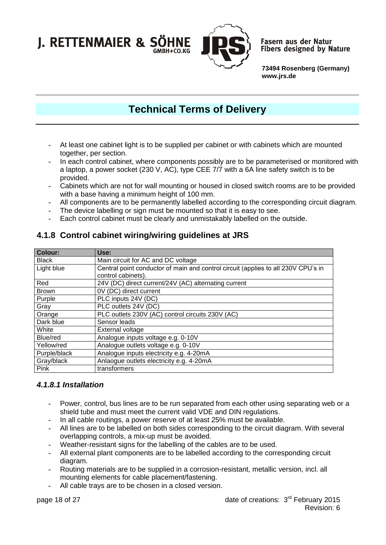

**Fasern aus der Natur Fibers designed by Nature** 

**73494 Rosenberg (Germany) www.jrs.de**

# **Technical Terms of Delivery**

- **-** At least one cabinet light is to be supplied per cabinet or with cabinets which are mounted together, per section.
- **-** In each control cabinet, where components possibly are to be parameterised or monitored with a laptop, a power socket (230 V, AC), type CEE 7/7 with a 6A line safety switch is to be provided.
- **-** Cabinets which are not for wall mounting or housed in closed switch rooms are to be provided with a base having a minimum height of 100 mm.
- **-** All components are to be permanently labelled according to the corresponding circuit diagram.
- **-** The device labelling or sign must be mounted so that it is easy to see.
- **-** Each control cabinet must be clearly and unmistakably labelled on the outside.

### <span id="page-17-0"></span>**4.1.8 Control cabinet wiring/wiring guidelines at JRS**

| <b>Colour:</b> | Use:                                                                                                    |
|----------------|---------------------------------------------------------------------------------------------------------|
| <b>Black</b>   | Main circuit for AC and DC voltage                                                                      |
| Light blue     | Central point conductor of main and control circuit (applies to all 230V CPU's in<br>control cabinets). |
| Red            | 24V (DC) direct current/24V (AC) alternating current                                                    |
| <b>Brown</b>   | 0V (DC) direct current                                                                                  |
| Purple         | PLC inputs 24V (DC)                                                                                     |
| Gray           | PLC outlets 24V (DC)                                                                                    |
| Orange         | PLC outlets 230V (AC) control circuits 230V (AC)                                                        |
| Dark blue      | Sensor leads                                                                                            |
| White          | External voltage                                                                                        |
| Blue/red       | Analogue inputs voltage e.g. 0-10V                                                                      |
| Yellow/red     | Analogue outlets voltage e.g. 0-10V                                                                     |
| Purple/black   | Analogue inputs electricity e.g. 4-20mA                                                                 |
| Gray/black     | Anlaogue outlets electricity e.g. 4-20mA                                                                |
| Pink           | transformers                                                                                            |

#### <span id="page-17-1"></span>*4.1.8.1 Installation*

- **-** Power, control, bus lines are to be run separated from each other using separating web or a shield tube and must meet the current valid VDE and DIN regulations.
- **-** In all cable routings, a power reserve of at least 25% must be available.
- **-** All lines are to be labelled on both sides corresponding to the circuit diagram. With several overlapping controls, a mix-up must be avoided.
- **-** Weather-resistant signs for the labelling of the cables are to be used.
- **-** All external plant components are to be labelled according to the corresponding circuit diagram.
- **-** Routing materials are to be supplied in a corrosion-resistant, metallic version, incl. all mounting elements for cable placement/fastening.
- **-** All cable trays are to be chosen in a closed version.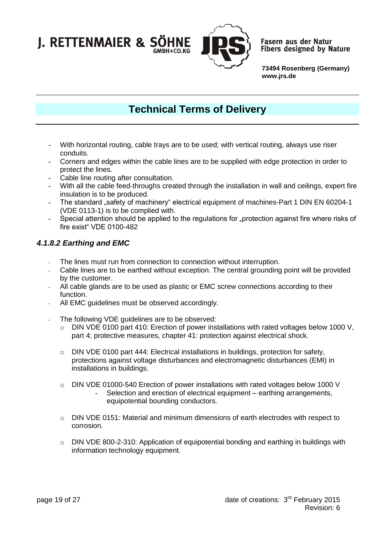

**Fasern aus der Natur Fibers designed by Nature** 

**73494 Rosenberg (Germany) www.jrs.de**

# **Technical Terms of Delivery**

- **-** With horizontal routing, cable trays are to be used; with vertical routing, always use riser conduits.
- **-** Corners and edges within the cable lines are to be supplied with edge protection in order to protect the lines.
- **-** Cable line routing after consultation.
- **-** With all the cable feed-throughs created through the installation in wall and ceilings, expert fire insulation is to be produced.
- The standard "safety of machinery" electrical equipment of machines-Part 1 DIN EN 60204-1 (VDE 0113-1) is to be complied with.
- **-** Special attention should be applied to the regulations for "protection against fire where risks of fire exist" VDE 0100-482

#### <span id="page-18-0"></span>*4.1.8.2 Earthing and EMC*

- The lines must run from connection to connection without interruption.
- Cable lines are to be earthed without exception. The central grounding point will be provided by the customer.
- All cable glands are to be used as plastic or EMC screw connections according to their function.
- All EMC quidelines must be observed accordingly.
- The following VDE guidelines are to be observed:
	- o DIN VDE 0100 part 410: Erection of power installations with rated voltages below 1000 V, part 4; protective measures, chapter 41: protection against electrical shock.
	- $\circ$  DIN VDE 0100 part 444: Electrical installations in buildings, protection for safety, protections against voltage disturbances and electromagnetic disturbances (EMI) in installations in buildings.
	- $\circ$  DIN VDE 01000-540 Erection of power installations with rated voltages below 1000 V
		- **-** Selection and erection of electrical equipment earthing arrangements, equipotential bounding conductors.
	- $\circ$  DIN VDE 0151: Material and minimum dimensions of earth electrodes with respect to corrosion.
	- o DIN VDE 800-2-310: Application of equipotential bonding and earthing in buildings with information technology equipment.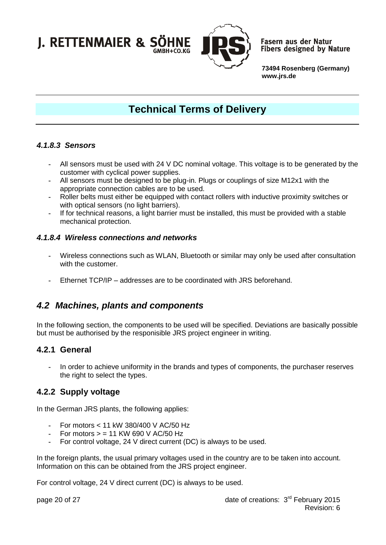

**Fasern aus der Natur Fibers designed by Nature** 

**73494 Rosenberg (Germany) www.jrs.de**

# **Technical Terms of Delivery**

#### <span id="page-19-0"></span>*4.1.8.3 Sensors*

- **-** All sensors must be used with 24 V DC nominal voltage. This voltage is to be generated by the customer with cyclical power supplies.
- **-** All sensors must be designed to be plug-in. Plugs or couplings of size M12x1 with the appropriate connection cables are to be used.
- **-** Roller belts must either be equipped with contact rollers with inductive proximity switches or with optical sensors (no light barriers).
- **-** If for technical reasons, a light barrier must be installed, this must be provided with a stable mechanical protection.

#### <span id="page-19-1"></span>*4.1.8.4 Wireless connections and networks*

- **-** Wireless connections such as WLAN, Bluetooth or similar may only be used after consultation with the customer.
- **-** Ethernet TCP/IP addresses are to be coordinated with JRS beforehand.

### <span id="page-19-2"></span>*4.2 Machines, plants and components*

In the following section, the components to be used will be specified. Deviations are basically possible but must be authorised by the responisible JRS project engineer in writing.

#### <span id="page-19-3"></span>**4.2.1 General**

**-** In order to achieve uniformity in the brands and types of components, the purchaser reserves the right to select the types.

### <span id="page-19-4"></span>**4.2.2 Supply voltage**

In the German JRS plants, the following applies:

- **-** For motors < 11 kW 380/400 V AC/50 Hz
- **-** For motors > = 11 KW 690 V AC/50 Hz
- **-** For control voltage, 24 V direct current (DC) is always to be used.

In the foreign plants, the usual primary voltages used in the country are to be taken into account. Information on this can be obtained from the JRS project engineer.

For control voltage, 24 V direct current (DC) is always to be used.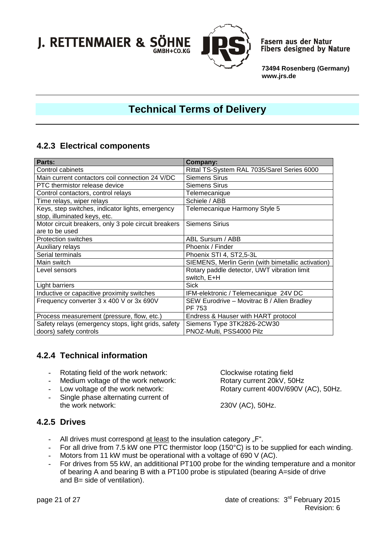

**Fasern aus der Natur Fibers designed by Nature** 

**73494 Rosenberg (Germany) www.jrs.de**

# **Technical Terms of Delivery**

### <span id="page-20-0"></span>**4.2.3 Electrical components**

| Parts:                                               | <b>Company:</b>                                    |
|------------------------------------------------------|----------------------------------------------------|
| Control cabinets                                     | Rittal TS-System RAL 7035/Sarel Series 6000        |
| Main current contactors coil connection 24 V/DC      | <b>Siemens Sirus</b>                               |
| PTC thermistor release device                        | <b>Siemens Sirus</b>                               |
| Control contactors, control relays                   | Telemecanique                                      |
| Time relays, wiper relays                            | Schiele / ABB                                      |
| Keys, step switches, indicator lights, emergency     | Telemecanique Harmony Style 5                      |
| stop, illuminated keys, etc.                         |                                                    |
| Motor circuit breakers, only 3 pole circuit breakers | <b>Siemens Sirius</b>                              |
| are to be used                                       |                                                    |
| <b>Protection switches</b>                           | ABL Sursum / ABB                                   |
| Auxiliary relays                                     | Phoenix / Finder                                   |
| Serial terminals                                     | Phoenix STI 4, ST2,5-3L                            |
| Main switch                                          | SIEMENS, Merlin Gerin (with bimetallic activation) |
| Level sensors                                        | Rotary paddle detector, UWT vibration limit        |
|                                                      | switch, E+H                                        |
| Light barriers                                       | <b>Sick</b>                                        |
| Inductive or capacitive proximity switches           | IFM-elektronic / Telemecanique 24V DC              |
| Frequency converter 3 x 400 V or 3x 690V             | SEW Eurodrive - Movitrac B / Allen Bradley         |
|                                                      | PF 753                                             |
| Process measurement (pressure, flow, etc.)           | Endress & Hauser with HART protocol                |
| Safety relays (emergency stops, light grids, safety  | Siemens Type 3TK2826-2CW30                         |
| doors) safety controls                               | PNOZ-Multi, PSS4000 Pilz                           |

### <span id="page-20-1"></span>**4.2.4 Technical information**

- 
- Medium voltage of the work network:<br>Low voltage of the work network:
- 
- Single phase alternating current of the work network:

**-** Rotating field of the work network: Clockwise rotating field<br> **-** Medium voltage of the work network: Rotary current 20kV, 50Hz Rotary current 400V/690V (AC), 50Hz.

230V (AC), 50Hz.

### <span id="page-20-2"></span>**4.2.5 Drives**

- All drives must correspond at least to the insulation category "F".
- **-** For all drive from 7.5 kW one PTC thermistor loop (150°C) is to be supplied for each winding.
- **-** Motors from 11 kW must be operational with a voltage of 690 V (AC).
- **-** For drives from 55 kW, an addititional PT100 probe for the winding temperature and a monitor of bearing A and bearing B with a PT100 probe is stipulated (bearing A=side of drive and B= side of ventilation).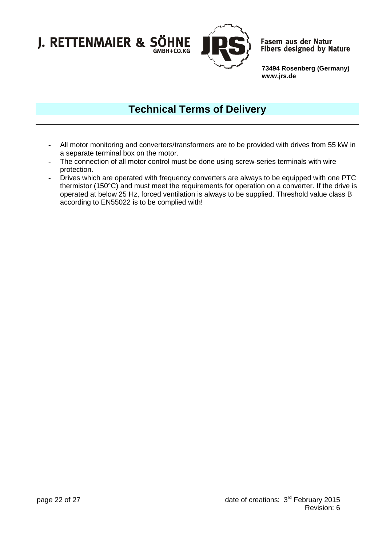

**Fasern aus der Natur Fibers designed by Nature** 

**73494 Rosenberg (Germany) www.jrs.de**

## **Technical Terms of Delivery**

- **-** All motor monitoring and converters/transformers are to be provided with drives from 55 kW in a separate terminal box on the motor.
- **-** The connection of all motor control must be done using screw-series terminals with wire protection.
- **-** Drives which are operated with frequency converters are always to be equipped with one PTC thermistor (150°C) and must meet the requirements for operation on a converter. If the drive is operated at below 25 Hz, forced ventilation is always to be supplied. Threshold value class B according to EN55022 is to be complied with!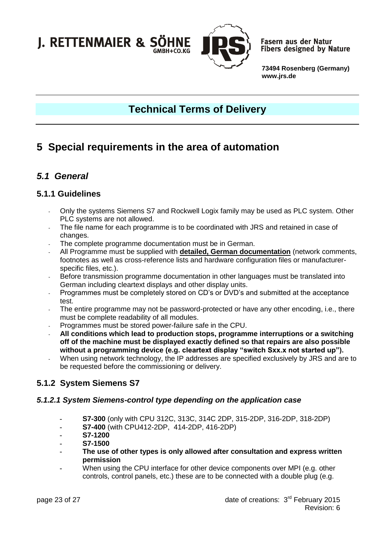

**Fasern aus der Natur Fibers designed by Nature** 

**73494 Rosenberg (Germany) www.jrs.de**

# **Technical Terms of Delivery**

# <span id="page-22-0"></span>**5 Special requirements in the area of automation**

### <span id="page-22-1"></span>*5.1 General*

### <span id="page-22-2"></span>**5.1.1 Guidelines**

- Only the systems Siemens S7 and Rockwell Logix family may be used as PLC system. Other PLC systems are not allowed.
- The file name for each programme is to be coordinated with JRS and retained in case of changes.
- The complete programme documentation must be in German.
- All Programme must be supplied with **detailed, German documentation** (network comments, footnotes as well as cross-reference lists and hardware configuration files or manufacturerspecific files, etc.).
- Before transmission programme documentation in other languages must be translated into German including cleartext displays and other display units.
- Programmes must be completely stored on CD's or DVD's and submitted at the acceptance test.
- The entire programme may not be password-protected or have any other encoding, i.e., there must be complete readability of all modules.
- Programmes must be stored power-failure safe in the CPU.
- **All conditions which lead to production stops, programme interruptions or a switching off of the machine must be displayed exactly defined so that repairs are also possible without a programming device (e.g. cleartext display "switch Sxx.x not started up").**
- When using network technology, the IP addresses are specified exclusively by JRS and are to be requested before the commissioning or delivery.

### <span id="page-22-3"></span>**5.1.2 System Siemens S7**

#### <span id="page-22-4"></span>*5.1.2.1 System Siemens-control type depending on the application case*

- **- S7-300** (only with CPU 312C, 313C, 314C 2DP, 315-2DP, 316-2DP, 318-2DP)
- **- S7-400** (with CPU412-2DP, 414-2DP, 416-2DP)
- **- S7-1200**
- **- S7-1500**
- **- The use of other types is only allowed after consultation and express written permission**
- **-** When using the CPU interface for other device components over MPI (e.g. other controls, control panels, etc.) these are to be connected with a double plug (e.g.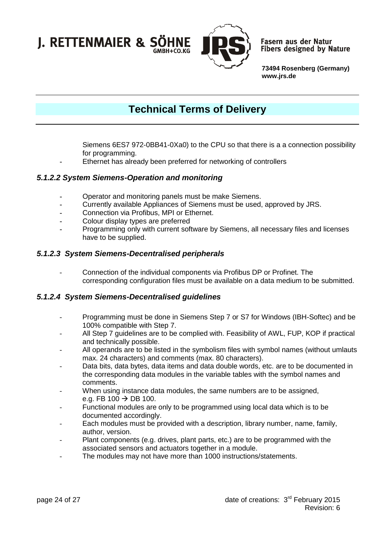

**Fasern aus der Natur Fibers designed by Nature** 

**73494 Rosenberg (Germany) www.jrs.de**

## **Technical Terms of Delivery**

Siemens 6ES7 972-0BB41-0Xa0) to the CPU so that there is a a connection possibility for programming.

**-** Ethernet has already been preferred for networking of controllers

#### <span id="page-23-0"></span>*5.1.2.2 System Siemens-Operation and monitoring*

- **-** Operator and monitoring panels must be make Siemens.
- **-** Currently available Appliances of Siemens must be used, approved by JRS.
- **-** Connection via Profibus, MPI or Ethernet.
- **-** Colour display types are preferred
- **-** Programming only with current software by Siemens, all necessary files and licenses have to be supplied.

#### <span id="page-23-1"></span>*5.1.2.3 System Siemens-Decentralised peripherals*

Connection of the individual components via Profibus DP or Profinet. The corresponding configuration files must be available on a data medium to be submitted.

#### <span id="page-23-2"></span>*5.1.2.4 System Siemens-Decentralised guidelines*

- Programming must be done in Siemens Step 7 or S7 for Windows (IBH-Softec) and be 100% compatible with Step 7.
- All Step 7 guidelines are to be complied with. Feasibility of AWL, FUP, KOP if practical and technically possible.
- All operands are to be listed in the symbolism files with symbol names (without umlauts max. 24 characters) and comments (max. 80 characters).
- Data bits, data bytes, data items and data double words, etc. are to be documented in the corresponding data modules in the variable tables with the symbol names and comments.
- When using instance data modules, the same numbers are to be assigned, e.g. FB 100  $\rightarrow$  DB 100.
- Functional modules are only to be programmed using local data which is to be documented accordingly.
- Each modules must be provided with a description, library number, name, family, author, version.
- Plant components (e.g. drives, plant parts, etc.) are to be programmed with the associated sensors and actuators together in a module.
- The modules may not have more than 1000 instructions/statements.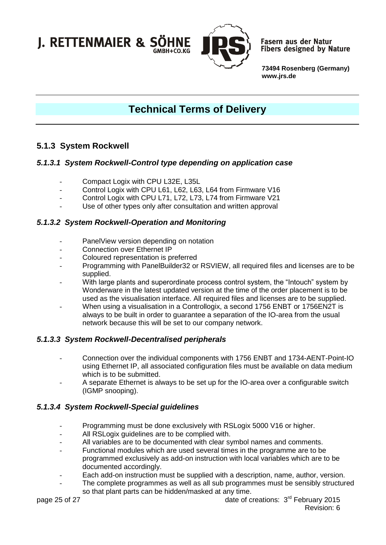

**Fasern aus der Natur Fibers designed by Nature** 

**73494 Rosenberg (Germany) www.jrs.de**

# **Technical Terms of Delivery**

### <span id="page-24-0"></span>**5.1.3 System Rockwell**

#### <span id="page-24-1"></span>*5.1.3.1 System Rockwell-Control type depending on application case*

- Compact Logix with CPU L32E, L35L
- Control Logix with CPU L61, L62, L63, L64 from Firmware V16
- Control Logix with CPU L71, L72, L73, L74 from Firmware V21
- Use of other types only after consultation and written approval

#### <span id="page-24-2"></span>*5.1.3.2 System Rockwell-Operation and Monitoring*

- PanelView version depending on notation
- Connection over Ethernet IP
- Coloured representation is preferred
- Programming with PanelBuilder32 or RSVIEW, all required files and licenses are to be supplied.
- With large plants and superordinate process control system, the "Intouch" system by Wonderware in the latest updated version at the time of the order placement is to be used as the visualisation interface. All required files and licenses are to be supplied.
- When using a visualisation in a Controllogix, a second 1756 ENBT or 1756EN2T is always to be built in order to guarantee a separation of the IO-area from the usual network because this will be set to our company network.

#### <span id="page-24-3"></span>*5.1.3.3 System Rockwell-Decentralised peripherals*

- Connection over the individual components with 1756 ENBT and 1734-AENT-Point-IO using Ethernet IP, all associated configuration files must be available on data medium which is to be submitted.
- A separate Ethernet is always to be set up for the IO-area over a configurable switch (IGMP snooping).

#### <span id="page-24-4"></span>*5.1.3.4 System Rockwell-Special guidelines*

- Programming must be done exclusively with RSLogix 5000 V16 or higher.
- All RSLogix guidelines are to be complied with.
- All variables are to be documented with clear symbol names and comments.
- Functional modules which are used several times in the programme are to be programmed exclusively as add-on instruction with local variables which are to be documented accordingly.
- Each add-on instruction must be supplied with a description, name, author, version.
- The complete programmes as well as all sub programmes must be sensibly structured so that plant parts can be hidden/masked at any time.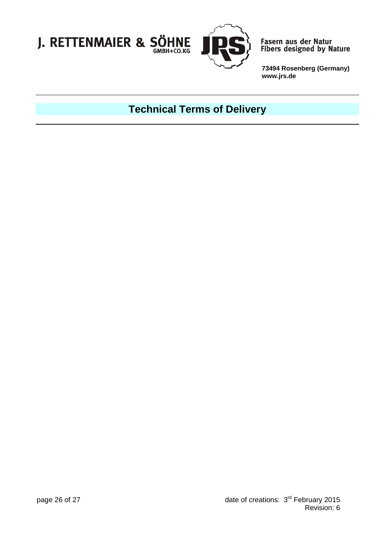



Fasern aus der Natur<br>Fibers designed by Nature

**73494 Rosenberg (Germany) www.jrs.de**

# **Technical Terms of Delivery**